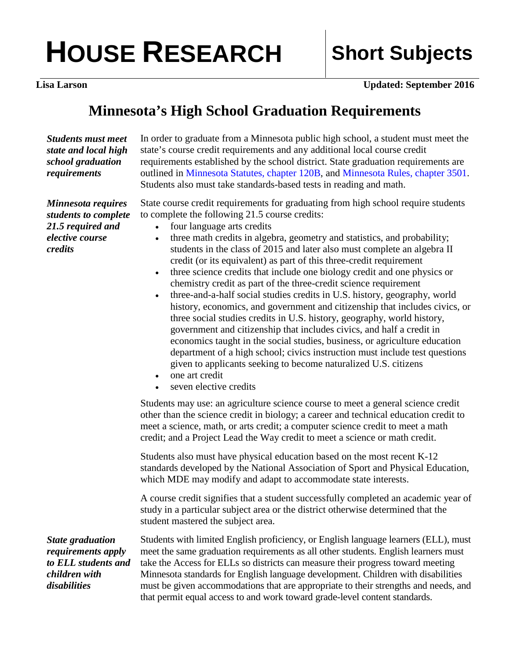## **HOUSE RESEARCH Short Subjects**

**Lisa Larson Updated: September 2016** 

## **Minnesota's High School Graduation Requirements**

*Students must meet state and local high school graduation requirements* 

In order to graduate from a Minnesota public high school, a student must meet the state's course credit requirements and any additional local course credit requirements established by the school district. State graduation requirements are outlined in [Minnesota Statutes, chapter 120B,](https://www.revisor.mn.gov/statutes/?id=120B) and [Minnesota Rules, chapter 3501](https://www.revisor.mn.gov/rules/?id=3501). Students also must take standards-based tests in reading and math.

State course credit requirements for graduating from high school require students to complete the following 21.5 course credits:

- four language arts credits
	- three math credits in algebra, geometry and statistics, and probability; students in the class of 2015 and later also must complete an algebra II credit (or its equivalent) as part of this three-credit requirement
- three science credits that include one biology credit and one physics or chemistry credit as part of the three-credit science requirement
- three-and-a-half social studies credits in U.S. history, geography, world history, economics, and government and citizenship that includes civics, or three social studies credits in U.S. history, geography, world history, government and citizenship that includes civics, and half a credit in economics taught in the social studies, business, or agriculture education department of a high school; civics instruction must include test questions given to applicants seeking to become naturalized U.S. citizens
- one art credit
- seven elective credits

Students may use: an agriculture science course to meet a general science credit other than the science credit in biology; a career and technical education credit to meet a science, math, or arts credit; a computer science credit to meet a math credit; and a Project Lead the Way credit to meet a science or math credit.

Students also must have physical education based on the most recent K-12 standards developed by the National Association of Sport and Physical Education, which MDE may modify and adapt to accommodate state interests.

A course credit signifies that a student successfully completed an academic year of study in a particular subject area or the district otherwise determined that the student mastered the subject area.

*State graduation requirements apply to ELL students and children with disabilities* 

Students with limited English proficiency, or English language learners (ELL), must meet the same graduation requirements as all other students. English learners must take the Access for ELLs so districts can measure their progress toward meeting Minnesota standards for English language development. Children with disabilities must be given accommodations that are appropriate to their strengths and needs, and that permit equal access to and work toward grade-level content standards.

*Minnesota requires students to complete 21.5 required and elective course credits*